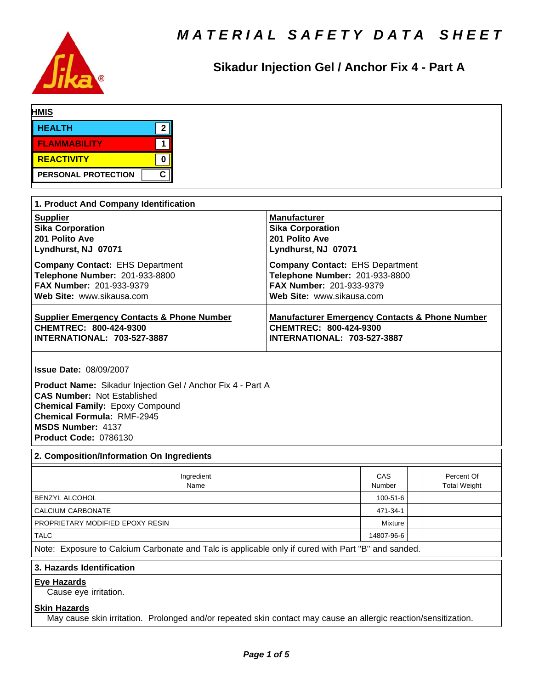

# **Sikadur Injection Gel / Anchor Fix 4 - Part A**

| <b>HMIS</b>                                                                                                                                                                                                                           |                                                                                                                           |                     |
|---------------------------------------------------------------------------------------------------------------------------------------------------------------------------------------------------------------------------------------|---------------------------------------------------------------------------------------------------------------------------|---------------------|
| 2 <br><b>HEALTH</b>                                                                                                                                                                                                                   |                                                                                                                           |                     |
|                                                                                                                                                                                                                                       |                                                                                                                           |                     |
| $\mathbf 1$<br><b>FLAMMABILITY</b>                                                                                                                                                                                                    |                                                                                                                           |                     |
| <b>REACTIVITY</b><br>$\mathbf 0$                                                                                                                                                                                                      |                                                                                                                           |                     |
| $\mathsf{C}\mid$<br><b>PERSONAL PROTECTION</b>                                                                                                                                                                                        |                                                                                                                           |                     |
|                                                                                                                                                                                                                                       |                                                                                                                           |                     |
| 1. Product And Company Identification                                                                                                                                                                                                 |                                                                                                                           |                     |
| <b>Supplier</b><br><b>Sika Corporation</b>                                                                                                                                                                                            | <b>Manufacturer</b><br><b>Sika Corporation</b>                                                                            |                     |
| 201 Polito Ave                                                                                                                                                                                                                        | 201 Polito Ave                                                                                                            |                     |
| Lyndhurst, NJ 07071                                                                                                                                                                                                                   | Lyndhurst, NJ 07071                                                                                                       |                     |
| <b>Company Contact: EHS Department</b>                                                                                                                                                                                                | <b>Company Contact: EHS Department</b>                                                                                    |                     |
| Telephone Number: 201-933-8800                                                                                                                                                                                                        | Telephone Number: 201-933-8800                                                                                            |                     |
| FAX Number: 201-933-9379                                                                                                                                                                                                              | FAX Number: 201-933-9379                                                                                                  |                     |
| Web Site: www.sikausa.com                                                                                                                                                                                                             | Web Site: www.sikausa.com                                                                                                 |                     |
| <b>Supplier Emergency Contacts &amp; Phone Number</b><br>CHEMTREC: 800-424-9300<br>INTERNATIONAL: 703-527-3887                                                                                                                        | <b>Manufacturer Emergency Contacts &amp; Phone Number</b><br>CHEMTREC: 800-424-9300<br><b>INTERNATIONAL: 703-527-3887</b> |                     |
|                                                                                                                                                                                                                                       |                                                                                                                           |                     |
| <b>Issue Date: 08/09/2007</b>                                                                                                                                                                                                         |                                                                                                                           |                     |
| Product Name: Sikadur Injection Gel / Anchor Fix 4 - Part A<br><b>CAS Number: Not Established</b><br><b>Chemical Family: Epoxy Compound</b><br><b>Chemical Formula: RMF-2945</b><br><b>MSDS Number: 4137</b><br>Product Code: 0786130 |                                                                                                                           |                     |
| 2. Composition/Information On Ingredients                                                                                                                                                                                             |                                                                                                                           |                     |
| Ingredient                                                                                                                                                                                                                            | CAS                                                                                                                       | Percent Of          |
| Name                                                                                                                                                                                                                                  | Number                                                                                                                    | <b>Total Weight</b> |
| <b>BENZYL ALCOHOL</b>                                                                                                                                                                                                                 | 100-51-6                                                                                                                  |                     |
| <b>CALCIUM CARBONATE</b>                                                                                                                                                                                                              | 471-34-1                                                                                                                  |                     |
| PROPRIETARY MODIFIED EPOXY RESIN                                                                                                                                                                                                      |                                                                                                                           |                     |
| 14807-96-6<br><b>TALC</b>                                                                                                                                                                                                             |                                                                                                                           |                     |
| Note: Exposure to Calcium Carbonate and Talc is applicable only if cured with Part "B" and sanded.                                                                                                                                    |                                                                                                                           |                     |
| 3. Hazards Identification                                                                                                                                                                                                             |                                                                                                                           |                     |
| <b>Eye Hazards</b><br>Cause eye irritation.                                                                                                                                                                                           |                                                                                                                           |                     |
| <b>Skin Hazards</b><br>May cause skin irritation. Prolonged and/or repeated skin contact may cause an allergic reaction/sensitization.                                                                                                |                                                                                                                           |                     |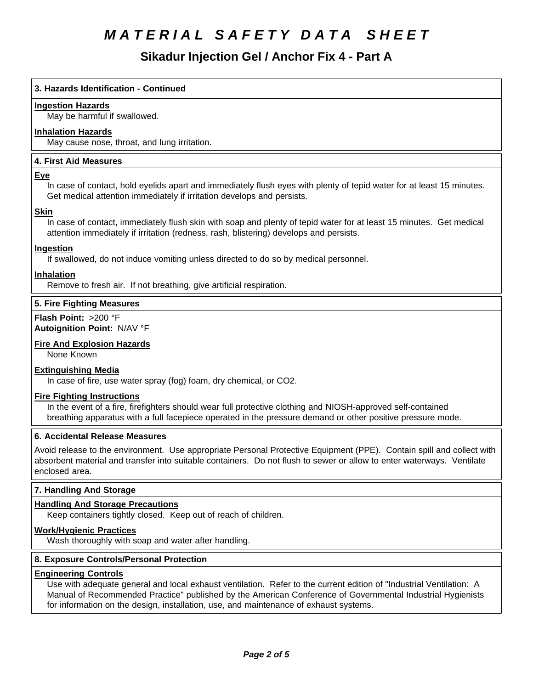# **Sikadur Injection Gel / Anchor Fix 4 - Part A**

# **3. Hazards Identification - Continued**

### **Ingestion Hazards**

May be harmful if swallowed.

# **Inhalation Hazards**

May cause nose, throat, and lung irritation.

# **4.First AidMeasures**

### **Eye**

In case of contact, hold eyelids apart and immediately flush eyes with plenty of tepid water for at least 15 minutes. Get medical attention immediately if irritation develops and persists.

### **Skin**

In case of contact, immediately flush skin with soap and plenty of tepid water for at least 15 minutes. Get medical attention immediately if irritation (redness, rash, blistering) develops and persists.

# **Ingestion**

If swallowed, do not induce vomiting unless directed to do so by medical personnel.

### **Inhalation**

Remove to fresh air. If not breathing, give artificial respiration.

# **5. Fire Fighting Measures**

**Flash Point:** >200 °F **Autoignition Point:** N/AV°F

## **Fire And Explosion Hazards**

None Known

# **Extinguishing Media**

In case of fire, use water spray (fog) foam, dry chemical, or CO2.

## **Fire Fighting Instructions**

In the event of a fire, firefighters should wear full protective clothing and NIOSH-approved self-contained breathing apparatus with a full facepiece operated in the pressure demand or other positive pressure mode.

### **6. Accidental Release Measures**

Avoid release to the environment. Use appropriate Personal Protective Equipment (PPE). Contain spill and collect with absorbent material and transfer into suitable containers. Do not flush to sewer or allow to enter waterways. Ventilate enclosed area.

# **7. Handling And Storage**

# **Handling And Storage Precautions**

Keep containers tightly closed. Keep out of reach of children.

# **Work/Hygienic Practices**

Wash thoroughly with soap and water after handling.

### **8. Exposure Controls/Personal Protection**

# **Engineering Controls**

Use with adequate general and local exhaust ventilation. Refer to the current edition of "Industrial Ventilation: A Manual of Recommended Practice" published by the American Conference of Governmental Industrial Hygienists for information on the design, installation, use, and maintenance of exhaust systems.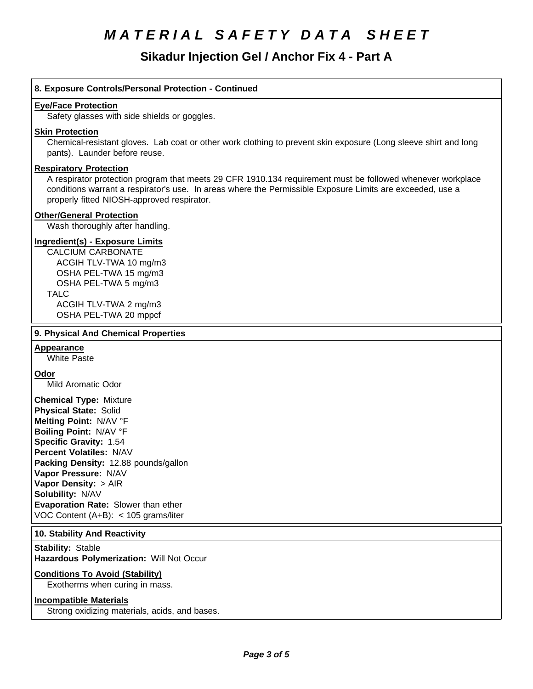# **Sikadur Injection Gel / Anchor Fix 4 - Part A**

## **8. Exposure Controls/Personal Protection - Continued**

### **Eye/Face Protection**

Safety glasses with side shields or goggles.

### **Skin Protection**

Chemical-resistant gloves. Lab coat or other work clothing to prevent skin exposure (Long sleeve shirt and long pants). Launder before reuse.

## **Respiratory Protection**

A respirator protection program that meets 29 CFR 1910.134 requirement must be followed whenever workplace conditions warrant a respirator's use. In areas where the Permissible Exposure Limits are exceeded, use a properly fitted NIOSH-approved respirator.

### **Other/General Protection**

Wash thoroughly after handling.

## **Ingredient(s) - Exposure Limits**

CALCIUM CARBONATE ACGIH TLV-TWA10 mg/m3 OSHA PEL-TWA 15 mg/m3 OSHA PEL-TWA 5 mg/m3 TALC ACGIH TLV-TWA 2 mg/m3 OSHA PEL-TWA 20 mppcf

#### **9. PhysicalAnd Chemical Properties**

#### **Appearance**

White Paste

### **Odor**

Mild Aromatic Odor

**Chemical Type:** Mixture **Physical State:** Solid **Melting Point:** N/AV°F **Boiling Point:** N/AV°F **Specific Gravity:** 1.54 **Percent Volatiles:** N/AV **Packing Density:** 12.88 pounds/gallon **Vapor Pressure:** N/AV **Vapor Density: > AIR Solubility: N/AV Evaporation Rate:** Slower than ether VOC Content  $(A+B)$ : < 105 grams/liter

#### **10. Stability And Reactivity**

**Stability: Stable Hazardous Polymerization: Will Not Occur** 

#### **Conditions To Avoid (Stability)**

Exotherms when curing in mass.

# **Incompatible Materials**

Strong oxidizing materials, acids, and bases.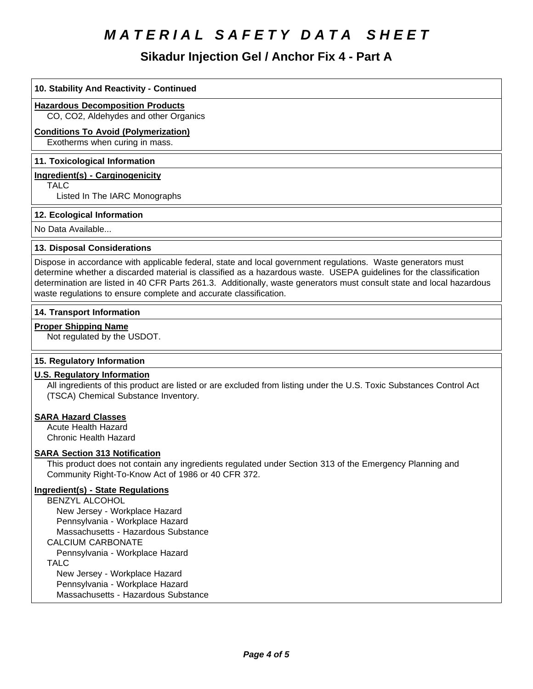# **Sikadur Injection Gel / Anchor Fix 4 - Part A**

# **10. Stability And Reactivity - Continued Hazardous Decomposition Products** CO, CO2, Aldehydes and other Organics **Conditions To Avoid (Polymerization)** Exotherms when curing in mass. **11. Toxicological Information Ingredient(s) - Carginogenicity** TALC Listed In The IARC Monographs **12. Ecological Information** No Data Available... **13. Disposal Considerations** Dispose in accordance with applicable federal, state and local government regulations. Waste generators must determine whether a discarded material is classified as a hazardous waste. USEPA guidelines for the classification determination are listed in 40 CFR Parts 261.3. Additionally, waste generators must consult state and local hazardous waste regulations to ensure complete and accurate classification. **14. Transport Information Proper Shipping Name** Not regulated by the USDOT. **15. Regulatory Information U.S. Regulatory Information** All ingredients of this product are listed or are excluded from listing under the U.S. Toxic Substances Control Act (TSCA) Chemical Substance Inventory. **SARA Hazard Classes** Acute Health Hazard Chronic Health Hazard **SARA Section 313 Notification** This product does not contain any ingredients regulated under Section 313 of the Emergency Planning and Community Right-To-Know Act of 1986 or 40 CFR 372. **Ingredient(s) - State Regulations** BENZYL ALCOHOL

 New Jersey - Workplace Hazard Pennsylvania - Workplace Hazard Massachusetts - Hazardous Substance

CALCIUM CARBONATE

Pennsylvania - Workplace Hazard

TALC

 New Jersey - Workplace Hazard Pennsylvania - Workplace Hazard Massachusetts - Hazardous Substance